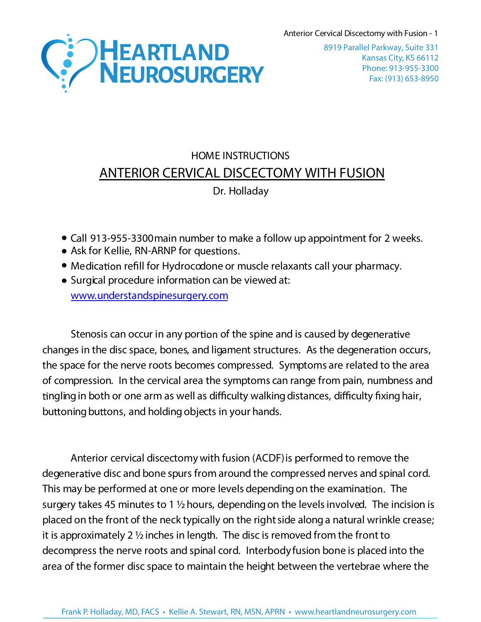Anterior Cervical Discectomy with Fusion - 1



Kansas City, KS 66112 Phone: 913-955-3300 Fax: (913) 653-8950 8919 Parallel Parkway, Suite 331

## HOME INSTRUCTIONS **ANTERIOR CERVICAL DISCECTOMY WITH FUSION** Dr. Holladay

- Call 913-955-3300 main number to make a follow up appointment for 2 weeks.
- Ask for Kellie, RN-ARNP for questions.
- Medication refill for Hydrocodone or muscle relaxants call your pharmacy.
- Surgical procedure information can be viewed at: [www.understandspinesurgery.com](http://www.understandspinesurgery.com/)

Stenosis can occur in any portion of the spine and is caused by degenerative changes in the disc space, bones, and ligament structures. As the degeneration occurs, the space for the nerve roots becomes compressed. Symptoms are related to the area of compression. In the cervical area the symptoms can range from pain, numbness and tingling in both or one arm as well as difficulty walking distances, difficulty fixing hair, buttoning buttons, and holding objects in your hands.

Anterior cervical discectomy with fusion (ACDF)is performed to remove the degenerative disc and bone spurs from around the compressed nerves and spinal cord. This may be performed at one or more levels depending on the examination. The surgery takes 45 minutes to 1 1/2 hours, depending on the levels involved. The incision is placed on the front of the neck typically on the rightside alonga natural wrinkle crease; it is approximately 2  $\frac{1}{2}$  inches in length. The disc is removed from the front to decompress the nerve roots and spinal cord. Interbody fusion bone is placed into the area of the former disc space to maintain the height between the vertebrae where the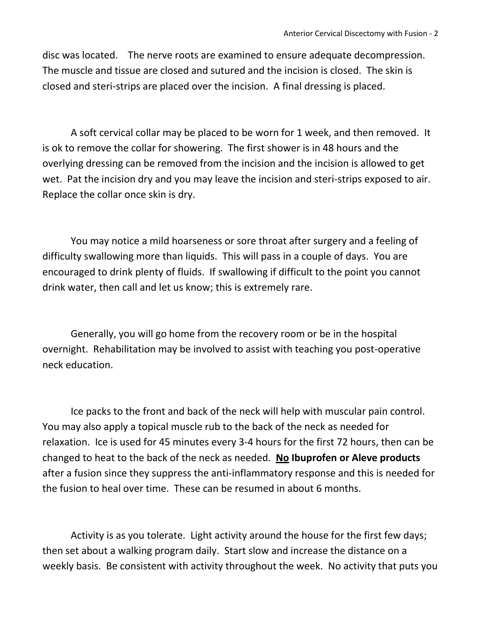disc was located. The nerve roots are examined to ensure adequate decompression. The muscle and tissue are closed and sutured and the incision is closed. The skin is closed and steri-strips are placed over the incision. A final dressing is placed.

A soft cervical collar may be placed to be worn for 1 week, and then removed. It is ok to remove the collar for showering. The first shower is in 48 hours and the overlying dressing can be removed from the incision and the incision is allowed to get wet. Pat the incision dry and you may leave the incision and steri-strips exposed to air. Replace the collar once skin is dry.

You may notice a mild hoarseness or sore throat after surgery and a feeling of difficulty swallowing more than liquids. This will pass in a couple of days. You are encouraged to drink plenty of fluids. If swallowing if difficult to the point you cannot drink water, then call and let us know; this is extremely rare.

Generally, you will go home from the recovery room or be in the hospital overnight. Rehabilitation may be involved to assist with teaching you post-operative neck education.

Ice packs to the front and back of the neck will help with muscular pain control. You may also apply a topical muscle rub to the back of the neck as needed for relaxation. Ice is used for 45 minutes every 3-4 hours for the first 72 hours, then can be changed to heat to the back of the neck as needed. **No Ibuprofen or Aleve products** after a fusion since they suppress the anti-inflammatory response and this is needed for the fusion to heal over time. These can be resumed in about 6 months.

Activity is as you tolerate. Light activity around the house for the first few days; then set about a walking program daily. Start slow and increase the distance on a weekly basis. Be consistent with activity throughout the week. No activity that puts you